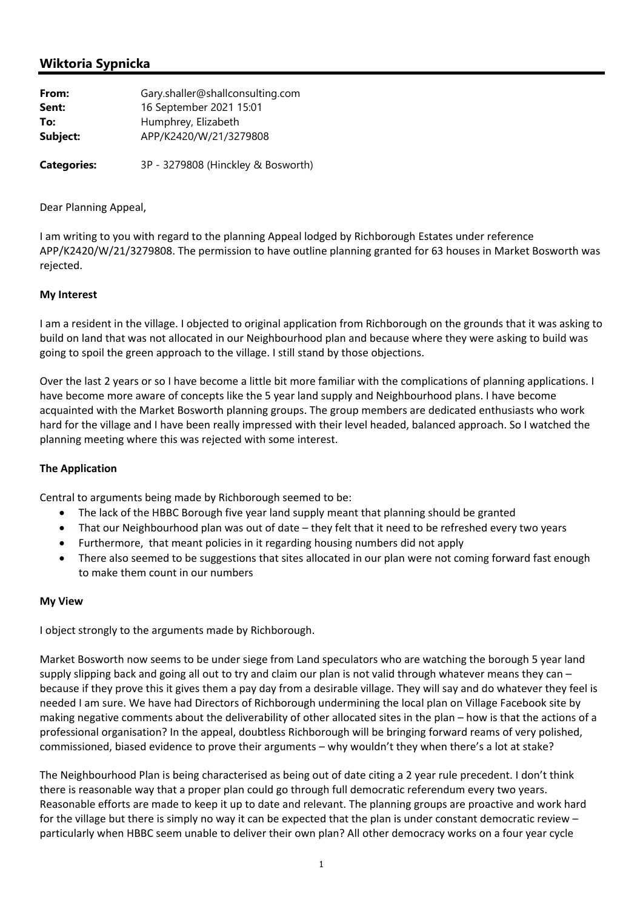# **Wiktoria Sypnicka**

| From:              | Gary.shaller@shallconsulting.com              |
|--------------------|-----------------------------------------------|
| Sent:              | 16 September 2021 15:01                       |
| To:<br>Subject:    | Humphrey, Elizabeth<br>APP/K2420/W/21/3279808 |
| <b>Categories:</b> | 3P - 3279808 (Hinckley & Bosworth)            |

## Dear Planning Appeal,

I am writing to you with regard to the planning Appeal lodged by Richborough Estates under reference APP/K2420/W/21/3279808. The permission to have outline planning granted for 63 houses in Market Bosworth was rejected.

## **My Interest**

I am a resident in the village. I objected to original application from Richborough on the grounds that it was asking to build on land that was not allocated in our Neighbourhood plan and because where they were asking to build was going to spoil the green approach to the village. I still stand by those objections.

Over the last 2 years or so I have become a little bit more familiar with the complications of planning applications. I have become more aware of concepts like the 5 year land supply and Neighbourhood plans. I have become acquainted with the Market Bosworth planning groups. The group members are dedicated enthusiasts who work hard for the village and I have been really impressed with their level headed, balanced approach. So I watched the planning meeting where this was rejected with some interest.

### **The Application**

Central to arguments being made by Richborough seemed to be:

- The lack of the HBBC Borough five year land supply meant that planning should be granted
- That our Neighbourhood plan was out of date they felt that it need to be refreshed every two years
- Furthermore, that meant policies in it regarding housing numbers did not apply
- There also seemed to be suggestions that sites allocated in our plan were not coming forward fast enough to make them count in our numbers

### **My View**

I object strongly to the arguments made by Richborough.

Market Bosworth now seems to be under siege from Land speculators who are watching the borough 5 year land supply slipping back and going all out to try and claim our plan is not valid through whatever means they can – because if they prove this it gives them a pay day from a desirable village. They will say and do whatever they feel is needed I am sure. We have had Directors of Richborough undermining the local plan on Village Facebook site by making negative comments about the deliverability of other allocated sites in the plan – how is that the actions of a professional organisation? In the appeal, doubtless Richborough will be bringing forward reams of very polished, commissioned, biased evidence to prove their arguments – why wouldn't they when there's a lot at stake?

The Neighbourhood Plan is being characterised as being out of date citing a 2 year rule precedent. I don't think there is reasonable way that a proper plan could go through full democratic referendum every two years. Reasonable efforts are made to keep it up to date and relevant. The planning groups are proactive and work hard for the village but there is simply no way it can be expected that the plan is under constant democratic review – particularly when HBBC seem unable to deliver their own plan? All other democracy works on a four year cycle